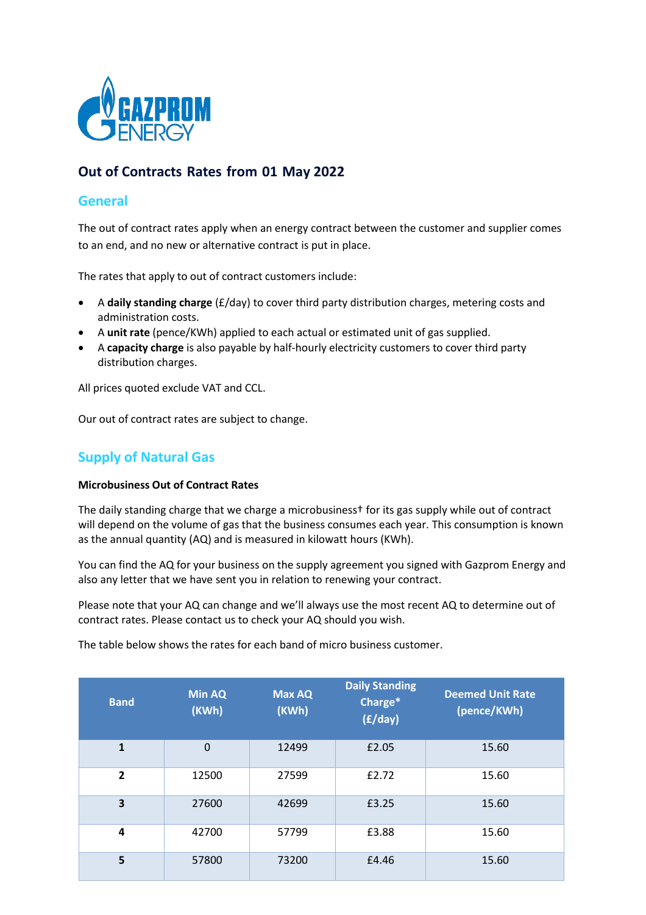

# **Out of Contracts Rates from 01 May 2022**

### **General**

The out of contract rates apply when an energy contract between the customer and supplier comes to an end, and no new or alternative contract is put in place.

The rates that apply to out of contract customers include:

- A **daily standing charge** (£/day) to cover third party distribution charges, metering costs and administration costs.
- A **unit rate** (pence/KWh) applied to each actual or estimated unit of gas supplied.
- A **capacity charge** is also payable by half‐hourly electricity customers to cover third party distribution charges.

All prices quoted exclude VAT and CCL.

Our out of contract rates are subject to change.

## **Supply of Natural Gas**

#### **Microbusiness Out of Contract Rates**

The daily standing charge that we charge a microbusiness† for its gas supply while out of contract will depend on the volume of gas that the business consumes each year. This consumption is known as the annual quantity (AQ) and is measured in kilowatt hours (KWh).

You can find the AQ for your business on the supply agreement you signed with Gazprom Energy and also any letter that we have sent you in relation to renewing your contract.

Please note that your AQ can change and we'll always use the most recent AQ to determine out of contract rates. Please contact us to check your AQ should you wish.

The table below shows the rates for each band of micro business customer.

| <b>Band</b>             | <b>Min AQ</b><br>(KWh) | <b>Max AQ</b><br>(KWh) | <b>Daily Standing</b><br>Charge*<br>(f/day) | <b>Deemed Unit Rate</b><br>(pence/KWh) |
|-------------------------|------------------------|------------------------|---------------------------------------------|----------------------------------------|
| $\mathbf{1}$            | $\mathbf 0$            | 12499                  | £2.05                                       | 15.60                                  |
| $\overline{2}$          | 12500                  | 27599                  | £2.72                                       | 15.60                                  |
| $\overline{\mathbf{3}}$ | 27600                  | 42699                  | £3.25                                       | 15.60                                  |
| 4                       | 42700                  | 57799                  | £3.88                                       | 15.60                                  |
| 5                       | 57800                  | 73200                  | £4.46                                       | 15.60                                  |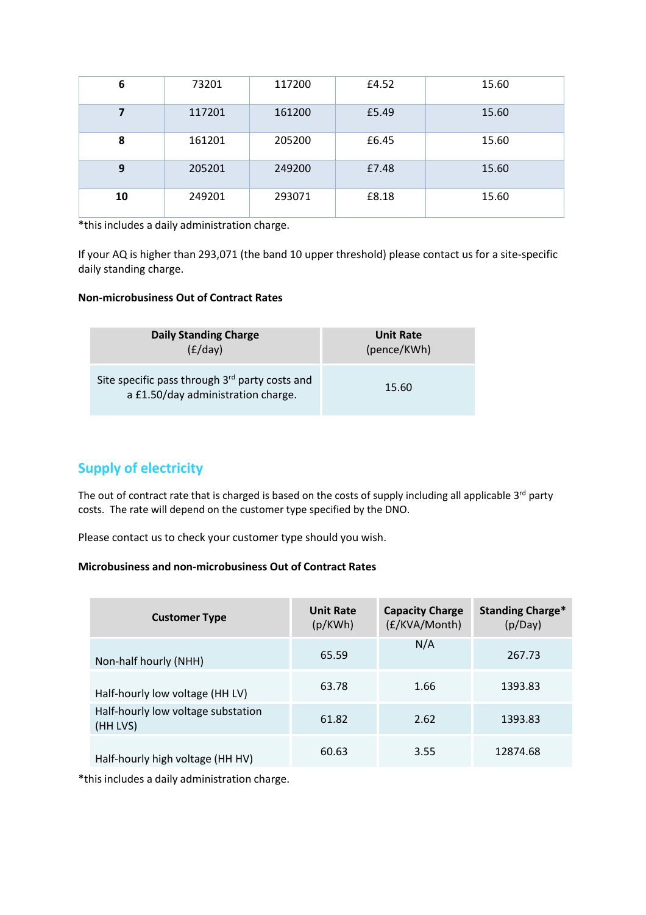| 6  | 73201  | 117200 | £4.52 | 15.60 |
|----|--------|--------|-------|-------|
| 7  | 117201 | 161200 | £5.49 | 15.60 |
| 8  | 161201 | 205200 | £6.45 | 15.60 |
| 9  | 205201 | 249200 | £7.48 | 15.60 |
| 10 | 249201 | 293071 | £8.18 | 15.60 |

\*this includes a daily administration charge.

If your AQ is higher than 293,071 (the band 10 upper threshold) please contact us for a site-specific daily standing charge.

### **Non‐microbusiness Out of Contract Rates**

| <b>Daily Standing Charge</b>                                                         | <b>Unit Rate</b> |  |
|--------------------------------------------------------------------------------------|------------------|--|
| (E/day)                                                                              | (pence/KWh)      |  |
| Site specific pass through 3rd party costs and<br>a £1.50/day administration charge. | 15.60            |  |

# **Supply of electricity**

The out of contract rate that is charged is based on the costs of supply including all applicable 3<sup>rd</sup> party costs. The rate will depend on the customer type specified by the DNO.

Please contact us to check your customer type should you wish.

### **Microbusiness and non‐microbusiness Out of Contract Rates**

| <b>Customer Type</b>                           | <b>Unit Rate</b><br>(p/KWh) | <b>Capacity Charge</b><br>(£/KVA/Month) | <b>Standing Charge*</b><br>(p/Day) |
|------------------------------------------------|-----------------------------|-----------------------------------------|------------------------------------|
| Non-half hourly (NHH)                          | 65.59                       | N/A                                     | 267.73                             |
| Half-hourly low voltage (HH LV)                | 63.78                       | 1.66                                    | 1393.83                            |
| Half-hourly low voltage substation<br>(HH LVS) | 61.82                       | 2.62                                    | 1393.83                            |
| Half-hourly high voltage (HH HV)               | 60.63                       | 3.55                                    | 12874.68                           |

\*this includes a daily administration charge.